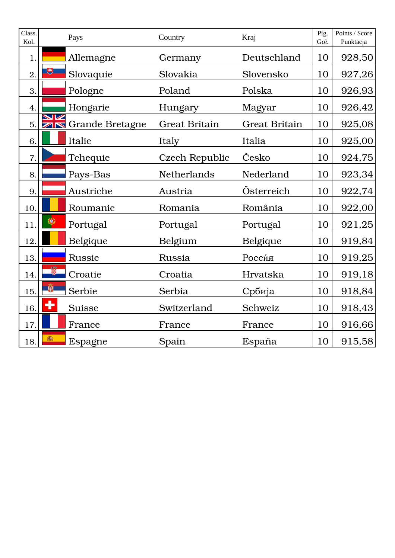| Class.<br>Kol. |           | Pays               | Country               | Kraj                 | Pig.<br>Goł. | Points / Score<br>Punktacja |
|----------------|-----------|--------------------|-----------------------|----------------------|--------------|-----------------------------|
| 1.             |           | Allemagne          | Germany               | Deutschland          | 10           | 928,50                      |
| 2.             | 电         | Slovaquie          | Slovakia              | Slovensko            | 10           | 927,26                      |
| 3.             |           | Pologne            | Poland                | Polska               | 10           | 926,93                      |
| 4.             |           | Hongarie           | Hungary               | Magyar               | 10           | 926,42                      |
| 5.             |           | NE Grande Bretagne | <b>Great Britain</b>  | <b>Great Britain</b> | 10           | 925,08                      |
| 6.             |           | Italie             | Italy                 | Italia               | 10           | 925,00                      |
| 7.             |           | Tchequie           | <b>Czech Republic</b> | Česko                | 10           | 924,75                      |
| 8.             |           | Pays-Bas           | Netherlands           | Nederland            | 10           | 923,34                      |
| 9.             |           | Austriche          | Austria               | Österreich           | 10           | 922,74                      |
| 10.            |           | Roumanie           | Romania               | România              | 10           | 922,00                      |
| 11.            | $\bullet$ | Portugal           | Portugal              | Portugal             | 10           | 921,25                      |
| 12.            |           | Belgique           | Belgium               | Belgique             | 10           | 919,84                      |
| 13.            |           | <b>Russie</b>      | <b>Russia</b>         | Россия               | 10           | 919,25                      |
| 14.            | ů         | Croatie            | Croatia               | Hrvatska             | 10           | 919,18                      |
| 15.            | 嚼         | Serbie             | Serbia                | Србија               | 10           | 918,84                      |
| 16.            | ٠         | <b>Suisse</b>      | Switzerland           | Schweiz              | 10           | 918,43                      |
| 17.            |           | France             | France                | France               | 10           | 916,66                      |
| 18.            | 瀛         | Espagne            | Spain                 | España               | 10           | 915,58                      |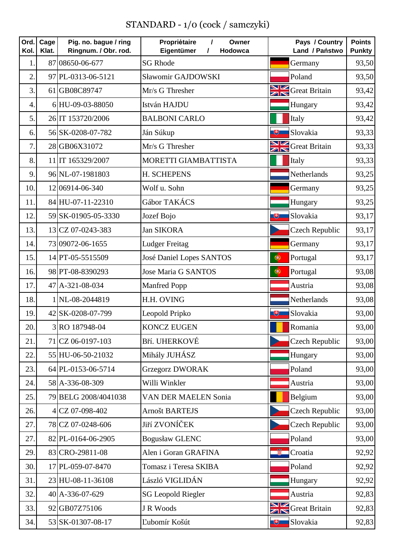## STANDARD - 1/0 (cock / samczyki)

| Ord.<br>Kol.   | Cage<br>Klat. | Pig. no. bague / ring<br>Ringnum. / Obr. rod. | Propriėtaire<br>$\prime$<br>Owner<br>Eigentümer<br>Hodowca<br>1 |                                 | Pays / Country<br>Land / Państwo | <b>Points</b><br><b>Punkty</b> |
|----------------|---------------|-----------------------------------------------|-----------------------------------------------------------------|---------------------------------|----------------------------------|--------------------------------|
| 1              |               | 87 08650-06-677                               | <b>SG Rhode</b>                                                 |                                 | Germany                          | 93,50                          |
| $\overline{2}$ |               | 97 PL-0313-06-5121                            | Sławomir GAJDOWSKI                                              |                                 | Poland                           | 93,50                          |
| 3              |               | 61 GB08C89747                                 | Mr/s G Thresher                                                 |                                 | <b>NE</b> Great Britain          | 93,42                          |
| $\overline{4}$ |               | 6HU-09-03-88050                               | István HAJDU                                                    |                                 | Hungary                          | 93,42                          |
| 5              |               | 26 IT 153720/2006                             | <b>BALBONI CARLO</b>                                            |                                 | Italy                            | 93,42                          |
| 6              |               | 56 SK-0208-07-782                             | Ján Súkup                                                       | 电                               | Slovakia                         | 93,33                          |
| 7              |               | 28 GB06X31072                                 | Mr/s G Thresher                                                 |                                 | <b>NE</b> Great Britain          | 93,33                          |
| 8              |               | 11 IT 165329/2007                             | MORETTI GIAMBATTISTA                                            |                                 | Italy                            | 93,33                          |
| 9              |               | 96 NL-07-1981803                              | H. SCHEPENS                                                     |                                 | Netherlands                      | 93,25                          |
| 10.            |               | 12 06914-06-340                               | Wolf u. Sohn                                                    |                                 | Germany                          | 93,25                          |
| 11             |               | 84 HU-07-11-22310                             | Gábor TAKÁCS                                                    |                                 | Hungary                          | 93,25                          |
| 12.            |               | 59 SK-01905-05-3330                           | Jozef Bojo                                                      | 电                               | Slovakia                         | 93,17                          |
| 13.            |               | 13 CZ 07-0243-383                             | <b>Jan SIKORA</b>                                               |                                 | Czech Republic                   | 93,17                          |
| 14.            |               | 73 09072-06-1655                              | <b>Ludger Freitag</b>                                           |                                 | Germany                          | 93,17                          |
| 15.            |               | 14 PT-05-5515509                              | <b>José Daniel Lopes SANTOS</b>                                 | 0                               | Portugal                         | 93,17                          |
| 16.            |               | 98 PT-08-8390293                              | <b>Jose Maria G SANTOS</b>                                      | 0                               | Portugal                         | 93,08                          |
| 17.            |               | 47 A-321-08-034                               | <b>Manfred Popp</b>                                             |                                 | Austria                          | 93,08                          |
| 18.            |               | 1 NL-08-2044819                               | H.H. OVING                                                      |                                 | Netherlands                      | 93,08                          |
| 19.            |               | 42 SK-0208-07-799                             | Leopold Pripko                                                  | 电                               | Slovakia                         | 93,00                          |
| 20.            |               | 3 RO 187948-04                                | <b>KONCZ EUGEN</b>                                              |                                 | Romania                          | 93,00                          |
| 21.            |               | 71 CZ 06-0197-103                             | Bří. UHERKOVÉ                                                   |                                 | <b>Czech Republic</b>            | 93,00                          |
| 22.            |               | 55 HU-06-50-21032                             | Mihály JUHÁSZ                                                   |                                 | Hungary                          | 93,00                          |
| 23.            |               | 64 PL-0153-06-5714                            | <b>Grzegorz DWORAK</b>                                          |                                 | Poland                           | 93,00                          |
| 24.            |               | 58 A-336-08-309                               | Willi Winkler                                                   |                                 | Austria                          | 93,00                          |
| 25.            |               | 79 BELG 2008/4041038                          | <b>VAN DER MAELEN Sonia</b>                                     |                                 | Belgium                          | 93,00                          |
| 26.            |               | 4 CZ 07-098-402                               | <b>Arnošt BARTEJS</b>                                           |                                 | <b>Czech Republic</b>            | 93,00                          |
| 27.            |               | 78 CZ 07-0248-606                             | Jiří ZVONÍČEK                                                   |                                 | <b>Czech Republic</b>            | 93,00                          |
| 27.            |               | 82 PL-0164-06-2905                            | <b>Bogusław GLENC</b>                                           |                                 | Poland                           | 93,00                          |
| 29.            |               | 83 CRO-29811-08                               | Alen i Goran GRAFINA                                            | ø                               | Croatia                          | 92,92                          |
| 30.            |               | 17 PL-059-07-8470                             | Tomasz i Teresa SKIBA                                           |                                 | Poland                           | 92,92                          |
| 31.            |               | 23 HU-08-11-36108                             | László VIGLIDÁN                                                 |                                 | Hungary                          | 92,92                          |
| 32.            |               | 40 A-336-07-629                               | <b>SG Leopold Riegler</b>                                       |                                 | Austria                          | 92,83                          |
| 33.            |               | 92 GB07Z75106                                 | J R Woods                                                       | $\frac{\mathbf{N}}{\mathbf{N}}$ | <b>Great Britain</b>             | 92,83                          |
| 34.            |               | 53 SK-01307-08-17                             | Ľubomír Košút                                                   | 博                               | Slovakia                         | 92,83                          |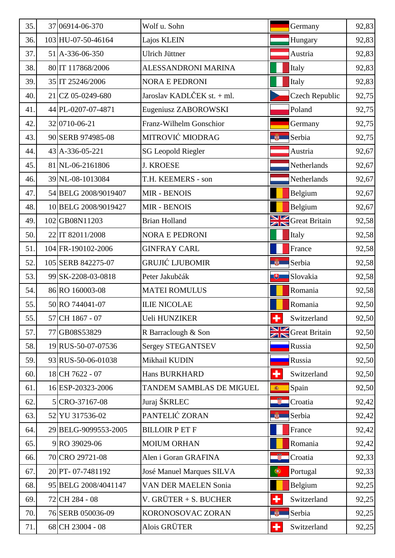| 35. | 37 06914-06-370              | Wolf u. Sohn                |                      | Germany                      | 92,83 |
|-----|------------------------------|-----------------------------|----------------------|------------------------------|-------|
| 36. | 103 HU-07-50-46164           | Lajos KLEIN                 |                      | Hungary                      | 92,83 |
| 37. | 51 A-336-06-350              | Ulrich Jüttner              |                      | Austria                      | 92,83 |
| 38. | 80 IT 117868/2006            | ALESSANDRONI MARINA         |                      | Italy                        | 92,83 |
| 39. | 35 IT 25246/2006             | <b>NORA E PEDRONI</b>       |                      | Italy                        | 92,83 |
| 40. | 21 CZ 05-0249-680            | Jaroslav KADLČEK st. + ml.  |                      | <b>Czech Republic</b>        | 92,75 |
| 41. | 44 PL-0207-07-4871           | Eugeniusz ZABOROWSKI        |                      | Poland                       | 92,75 |
| 42. | 32 0710 - 06 - 21            | Franz-Wilhelm Gonschior     |                      | Germany                      | 92,75 |
| 43. | 90 SERB 974985-08            | MITROVIĆ MIODRAG            | $\mathbb{R}$         | Serbia                       | 92,75 |
| 44. | $43 \mid A - 336 - 05 - 221$ | <b>SG Leopold Riegler</b>   |                      | Austria                      | 92,67 |
| 45. | 81 NL-06-2161806             | <b>J. KROESE</b>            |                      | Netherlands                  | 92,67 |
| 46. | 39 NL-08-1013084             | T.H. KEEMERS - son          |                      | Netherlands                  | 92,67 |
| 47. | 54 BELG 2008/9019407         | <b>MIR - BENOIS</b>         |                      | Belgium                      | 92,67 |
| 48. | 10 BELG 2008/9019427         | <b>MIR - BENOIS</b>         |                      | Belgium                      | 92,67 |
| 49. | 102 GB08N11203               | <b>Brian Holland</b>        |                      | Great Britain                | 92,58 |
| 50. | 22 IT 82011/2008             | <b>NORA E PEDRONI</b>       |                      | Italy                        | 92,58 |
| 51. | 104 FR-190102-2006           | <b>GINFRAY CARL</b>         |                      | France                       | 92,58 |
| 52. | 105 SERB 842275-07           | <b>GRUJIĆ LJUBOMIR</b>      | <b>EXECUTE</b>       | Serbia                       | 92,58 |
| 53. | 99 SK-2208-03-0818           | Peter Jakubčák              | 电                    | Slovakia                     | 92,58 |
| 54. | 86 RO 160003-08              | <b>MATEI ROMULUS</b>        |                      | Romania                      | 92,58 |
| 55. | 50 RO 744041-07              | <b>ILIE NICOLAE</b>         |                      | Romania                      | 92,50 |
| 55. | 57 CH 1867 - 07              | Ueli HUNZIKER               | $\ddot{\phantom{1}}$ | Switzerland                  | 92,50 |
| 57. | 77 GB08S53829                | R Barraclough & Son         |                      | <b>Sand Separate Britain</b> | 92,50 |
| 58. | 19 RUS-50-07-07536           | Sergey STEGANTSEV           |                      | Russia                       | 92,50 |
| 59. | 93 RUS-50-06-01038           | Mikhail KUDIN               |                      | Russia                       | 92,50 |
| 60. | 18 CH 7622 - 07              | <b>Hans BURKHARD</b>        | ٠                    | Switzerland                  | 92,50 |
| 61. | 16 ESP-20323-2006            | TANDEM SAMBLAS DE MIGUEL    | 瓣                    | Spain                        | 92,50 |
| 62. | 5 CRO-37167-08               | Juraj ŠKRLEC                | -8                   | Croatia                      | 92,42 |
| 63. | 52 YU 317536-02              | PANTELIĆ ZORAN              | <b>REA</b>           | Serbia                       | 92,42 |
| 64. | 29 BELG-9099553-2005         | <b>BILLOIR PET F</b>        |                      | France                       | 92,42 |
| 65. | 9 RO 39029-06                | <b>MOIUM ORHAN</b>          |                      | Romania                      | 92,42 |
| 66. | 70 CRO 29721-08              | Alen i Goran GRAFINA        | 壣                    | Croatia                      | 92,33 |
| 67. | 20 PT-07-7481192             | José Manuel Marques SILVA   | $\bullet$            | Portugal                     | 92,33 |
| 68. | 95 BELG 2008/4041147         | <b>VAN DER MAELEN Sonia</b> |                      | Belgium                      | 92,25 |
| 69. | 72 CH 284 - 08               | V. GRÜTER + S. BUCHER       | ٠                    | Switzerland                  | 92,25 |
| 70. | 76 SERB 050036-09            | KORONOSOVAC ZORAN           | <b>A PEA</b>         | Serbia                       | 92,25 |
| 71. | 68 CH 23004 - 08             | Alois GRÜTER                | ٠                    | Switzerland                  | 92,25 |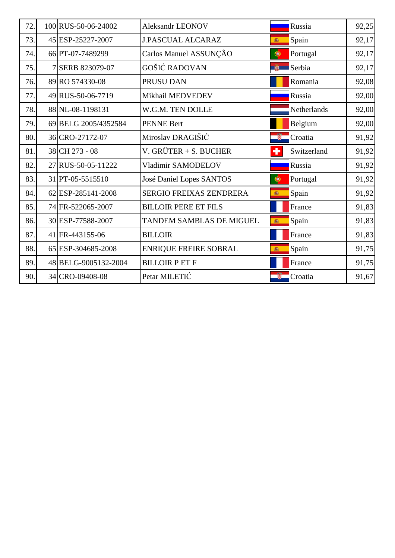| 72. | 100 RUS-50-06-24002  | <b>Aleksandr LEONOV</b>      |              | Russia      | 92,25 |
|-----|----------------------|------------------------------|--------------|-------------|-------|
| 73. | 45 ESP-25227-2007    | <b>J.PASCUAL ALCARAZ</b>     | 編            | Spain       | 92,17 |
| 74. | 66 PT-07-7489299     | Carlos Manuel ASSUNÇÃO       | ۱            | Portugal    | 92,17 |
| 75. | 7 SERB 823079-07     | GOŠIĆ RADOVAN                | $\mathbb{R}$ | Serbia      | 92,17 |
| 76. | 89 RO 574330-08      | PRUSU DAN                    |              | Romania     | 92,08 |
| 77. | 49 RUS-50-06-7719    | Mikhail MEDVEDEV             |              | Russia      | 92,00 |
| 78. | 88 NL-08-1198131     | W.G.M. TEN DOLLE             |              | Netherlands | 92,00 |
| 79. | 69 BELG 2005/4352584 | <b>PENNE Bert</b>            |              | Belgium     | 92,00 |
| 80. | 36 CRO-27172-07      | Miroslav DRAGIŠIĆ            | -51          | Croatia     | 91,92 |
| 81. | 38 CH 273 - 08       | V. GRÜTER + S. BUCHER        | ٠            | Switzerland | 91,92 |
| 82. | 27 RUS-50-05-11222   | Vladimir SAMODELOV           |              | Russia      | 91,92 |
| 83. | 31 PT-05-5515510     | José Daniel Lopes SANTOS     | $\bullet$    | Portugal    | 91,92 |
| 84. | 62 ESP-285141-2008   | SERGIO FREIXAS ZENDRERA      | 編            | Spain       | 91,92 |
| 85. | 74 FR-522065-2007    | <b>BILLOIR PERE ET FILS</b>  |              | France      | 91,83 |
| 86. | 30 ESP-77588-2007    | TANDEM SAMBLAS DE MIGUEL     | 癫            | Spain       | 91,83 |
| 87. | 41 FR-443155-06      | <b>BILLOIR</b>               |              | France      | 91,83 |
| 88. | 65 ESP-304685-2008   | <b>ENRIQUE FREIRE SOBRAL</b> | 瓣            | Spain       | 91,75 |
| 89. | 48 BELG-9005132-2004 | <b>BILLOIR PET F</b>         |              | France      | 91,75 |
| 90. | 34 CRO-09408-08      | Petar MILETIĆ                |              | Croatia     | 91,67 |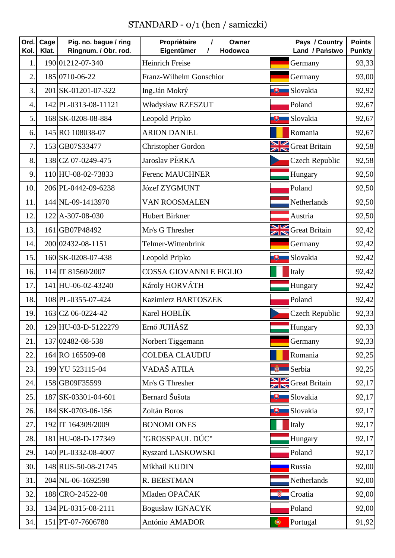## STANDARD - 0/1 (hen / samiczki)

| Ord.<br>Kol.     | Cage<br>Klat. | Pig. no. bague / ring<br>Ringnum. / Obr. rod. | Propriėtaire<br>$\prime$<br>Owner<br>Eigentümer<br>Hodowca<br>$\prime$ | Pays / Country<br>Land / Państwo | <b>Points</b><br><b>Punkty</b> |
|------------------|---------------|-----------------------------------------------|------------------------------------------------------------------------|----------------------------------|--------------------------------|
| $\mathbf{1}$     |               | 190 01212-07-340                              | <b>Heinrich Freise</b>                                                 | Germany                          | 93,33                          |
| $\overline{2}$ . |               | 185 0710-06-22                                | Franz-Wilhelm Gonschior                                                | Germany                          | 93,00                          |
| 3.               |               | 201 SK-01201-07-322                           | Ing.Ján Mokrý                                                          | Slovakia<br>电                    | 92,92                          |
| 4.               |               | 142 PL-0313-08-11121                          | Władysław RZESZUT                                                      | Poland                           | 92,67                          |
| 5.               |               | 168 SK-0208-08-884                            | Leopold Pripko                                                         | 电<br>Slovakia                    | 92,67                          |
| 6.               |               | 145 RO 108038-07                              | <b>ARION DANIEL</b>                                                    | Romania                          | 92,67                          |
| $\overline{7}$   |               | 153 GB07S33477                                | Christopher Gordon                                                     | Great Britain                    | 92,58                          |
| 8.               |               | 138 CZ 07-0249-475                            | Jaroslav PĚRKA                                                         | Czech Republic                   | 92,58                          |
| 9.               |               | 110 HU-08-02-73833                            | <b>Ferenc MAUCHNER</b>                                                 | Hungary                          | 92,50                          |
| 10.              |               | 206 PL-0442-09-6238                           | <b>Józef ZYGMUNT</b>                                                   | Poland                           | 92,50                          |
| 11.              |               | 144 NL-09-1413970                             | VAN ROOSMALEN                                                          | Netherlands                      | 92,50                          |
| 12.              |               | 122 A-307-08-030                              | <b>Hubert Birkner</b>                                                  | Austria                          | 92,50                          |
| 13.              |               | 161 GB07P48492                                | Mr/s G Thresher                                                        | <b>SIM</b> Great Britain         | 92,42                          |
| 14.              |               | 200 02432-08-1151                             | Telmer-Wittenbrink                                                     | Germany                          | 92,42                          |
| 15.              |               | 160 SK-0208-07-438                            | Leopold Pripko                                                         | 巴<br>Slovakia                    | 92,42                          |
| 16.              |               | 114 IT 81560/2007                             | <b>COSSA GIOVANNI E FIGLIO</b>                                         | Italy                            | 92,42                          |
| 17.              |               | 141 HU-06-02-43240                            | Károly HORVÁTH                                                         | Hungary                          | 92,42                          |
| 18.              |               | 108 PL-0355-07-424                            | <b>Kazimierz BARTOSZEK</b>                                             | Poland                           | 92,42                          |
| 19.              |               | 163 CZ 06-0224-42                             | Karel HOBLÍK                                                           | Czech Republic                   | 92,33                          |
| 20.              |               | 129 HU-03-D-5122279                           | Ernő JUHÁSZ                                                            | Hungary                          | 92,33                          |
| 21.              |               | 137 02482-08-538                              | Norbert Tiggemann                                                      | Germany                          | 92,33                          |
| 22.              |               | 164 RO 165509-08                              | <b>COLDEA CLAUDIU</b>                                                  | Romania                          | 92,25                          |
| 23.              |               | 199 YU 523115-04                              | VADAŠ ATILA                                                            | <b>W</b><br>Serbia               | 92,25                          |
| 24.              |               | 158 GB09F35599                                | Mr/s G Thresher                                                        | <b>SIM</b> Great Britain         | 92,17                          |
| 25.              |               | 187 SK-03301-04-601                           | Bernard Šušota                                                         | 巴<br>Slovakia                    | 92,17                          |
| 26.              |               | 184 SK-0703-06-156                            | Zoltán Boros                                                           | Slovakia<br>电                    | 92,17                          |
| 27.              |               | 192 IT 164309/2009                            | <b>BONOMI ONES</b>                                                     | Italy                            | 92,17                          |
| 28.              |               | 181 HU-08-D-177349                            | "GROSSPAUL DÚC"                                                        | Hungary                          | 92,17                          |
| 29.              |               | 140 PL-0332-08-4007                           | <b>Ryszard LASKOWSKI</b>                                               | Poland                           | 92,17                          |
| 30.              |               | 148 RUS-50-08-21745                           | Mikhail KUDIN                                                          | Russia                           | 92,00                          |
| 31.              |               | 204 NL-06-1692598                             | R. BEESTMAN                                                            | Netherlands                      | 92,00                          |
| 32.              |               | 188 CRO-24522-08                              | Mladen OPAČAK                                                          | 龞<br>Croatia                     | 92,00                          |
| 33.              |               | 134 PL-0315-08-2111                           | <b>Bogusław IGNACYK</b>                                                | Poland                           | 92,00                          |
| 34.              |               | 151 PT-07-7606780                             | António AMADOR                                                         | $\circledast$<br>Portugal        | 91,92                          |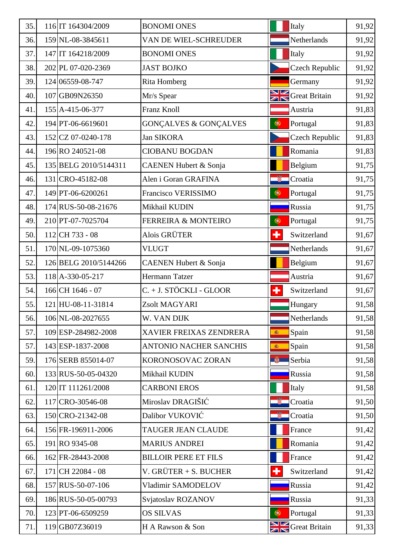| 35. | 116 IT 164304/2009    | <b>BONOMI ONES</b>               |                      | Italy                    | 91,92 |
|-----|-----------------------|----------------------------------|----------------------|--------------------------|-------|
| 36. | 159 NL-08-3845611     | VAN DE WIEL-SCHREUDER            |                      | Netherlands              | 91,92 |
| 37. | 147 IT 164218/2009    | <b>BONOMI ONES</b>               |                      | Italy                    | 91,92 |
| 38. | 202 PL 07-020-2369    | <b>JAST BOJKO</b>                |                      | <b>Czech Republic</b>    | 91,92 |
| 39. | 124 06559-08-747      | <b>Rita Homberg</b>              |                      | Germany                  | 91,92 |
| 40. | 107 GB09N26350        | Mr/s Spear                       |                      | <b>SIM</b> Great Britain | 91,92 |
| 41. | 155 A-415-06-377      | Franz Knoll                      |                      | Austria                  | 91,83 |
| 42. | 194 PT-06-6619601     | <b>GONÇALVES &amp; GONÇALVES</b> | $\bigcirc$           | Portugal                 | 91,83 |
| 43. | 152 CZ 07-0240-178    | <b>Jan SIKORA</b>                |                      | <b>Czech Republic</b>    | 91,83 |
| 44. | 196 RO 240521-08      | <b>CIOBANU BOGDAN</b>            |                      | Romania                  | 91,83 |
| 45. | 135 BELG 2010/5144311 | <b>CAENEN Hubert &amp; Sonja</b> |                      | Belgium                  | 91,75 |
| 46. | 131 CRO-45182-08      | Alen i Goran GRAFINA             |                      | Croatia                  | 91,75 |
| 47. | 149 PT-06-6200261     | Francisco VERISSIMO              | $\bullet$            | Portugal                 | 91,75 |
| 48. | 174 RUS-50-08-21676   | Mikhail KUDIN                    |                      | Russia                   | 91,75 |
| 49. | 210 PT-07-7025704     | <b>FERREIRA &amp; MONTEIRO</b>   | $\bullet$            | Portugal                 | 91,75 |
| 50. | 112 CH 733 - 08       | Alois GRÜTER                     | ÷                    | Switzerland              | 91,67 |
| 51. | 170 NL-09-1075360     | <b>VLUGT</b>                     |                      | Netherlands              | 91,67 |
| 52. | 126 BELG 2010/5144266 | <b>CAENEN Hubert &amp; Sonja</b> |                      | Belgium                  | 91,67 |
| 53. | 118 A-330-05-217      | Hermann Tatzer                   |                      | Austria                  | 91,67 |
| 54. | 166 CH 1646 - 07      | C. + J. STÖCKLI - GLOOR          | ٠                    | Switzerland              | 91,67 |
| 55. | 121 HU-08-11-31814    | Zsolt MAGYARI                    |                      | Hungary                  | 91,58 |
| 56. | 106 NL-08-2027655     | W. VAN DIJK                      |                      | Netherlands              | 91,58 |
| 57. | 109 ESP-284982-2008   | XAVIER FREIXAS ZENDRERA          | 瀛                    | Spain                    | 91,58 |
| 57. | 143 ESP-1837-2008     | ANTONIO NACHER SANCHIS           | 編                    | Spain                    | 91,58 |
| 59. | 176 SERB 855014-07    | KORONOSOVAC ZORAN                | <b>BEAT</b>          | Serbia                   | 91,58 |
| 60. | 133 RUS-50-05-04320   | Mikhail KUDIN                    |                      | Russia                   | 91,58 |
| 61. | 120 IT 111261/2008    | <b>CARBONI EROS</b>              |                      | Italy                    | 91,58 |
| 62. | 117 CRO-30546-08      | Miroslav DRAGIŠIĆ                |                      | Croatia                  | 91,50 |
| 63. | 150 CRO-21342-08      | Dalibor VUKOVIĆ                  |                      | Croatia                  | 91,50 |
| 64. | 156 FR-196911-2006    | TAUGER JEAN CLAUDE               |                      | France                   | 91,42 |
| 65. | 191 RO 9345-08        | <b>MARIUS ANDREI</b>             |                      | Romania                  | 91,42 |
| 66. | 162 FR-28443-2008     | <b>BILLOIR PERE ET FILS</b>      |                      | France                   | 91,42 |
| 67. | 171 CH 22084 - 08     | V. GRÜTER $+$ S. BUCHER          | $\ddot{\phantom{1}}$ | Switzerland              | 91,42 |
| 68. | 157 RUS-50-07-106     | Vladimir SAMODELOV               |                      | Russia                   | 91,42 |
| 69. | 186 RUS-50-05-00793   | Svjatoslav ROZANOV               |                      | Russia                   | 91,33 |
| 70. | 123 PT-06-6509259     | <b>OS SILVAS</b>                 | ۱                    | Portugal                 | 91,33 |
| 71. | 119 GB07Z36019        | H A Rawson & Son                 |                      | Great Britain            | 91,33 |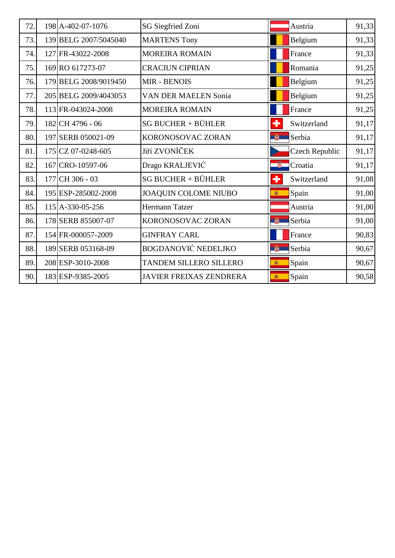| 72. | 198 A-402-07-1076     | SG Siegfried Zoni              |                | Austria        | 91,33 |
|-----|-----------------------|--------------------------------|----------------|----------------|-------|
| 73. | 139 BELG 2007/5045040 | <b>MARTENS Tony</b>            |                | Belgium        | 91,33 |
| 74. | 127 FR-43022-2008     | <b>MOREIRA ROMAIN</b>          |                | France         | 91,33 |
| 75. | 169 RO 617273-07      | <b>CRACIUN CIPRIAN</b>         |                | Romania        | 91,25 |
| 76. | 179 BELG 2008/9019450 | <b>MIR - BENOIS</b>            |                | Belgium        | 91,25 |
| 77. | 205 BELG 2009/4043053 | <b>VAN DER MAELEN Sonia</b>    |                | Belgium        | 91,25 |
| 78. | 113 FR-043024-2008    | <b>MOREIRA ROMAIN</b>          |                | France         | 91,25 |
| 79. | 182 CH 4796 - 06      | <b>SG BUCHER + BÜHLER</b>      | ٠              | Switzerland    | 91,17 |
| 80. | 197 SERB 050021-09    | KORONOSOVAC ZORAN              | <b>EXECUTE</b> | Serbia         | 91,17 |
| 81. | 175 CZ 07-0248-605    | Jiří ZVONÍČEK                  |                | Czech Republic | 91,17 |
| 82. | 167 CRO-10597-06      | Drago KRALJEVIĆ                | ÷              | Croatia        | 91,17 |
| 83. | 177 CH 306 - 03       | $SG$ BUCHER + BÜHLER           | ÷              | Switzerland    | 91,08 |
| 84. | 195 ESP-285002-2008   | <b>JOAQUIN COLOME NIUBO</b>    | 高              | Spain          | 91,00 |
| 85. | 115 A-330-05-256      | <b>Hermann Tatzer</b>          |                | Austria        | 91,00 |
| 86. | 178 SERB 855007-07    | KORONOSOVAC ZORAN              | 嚼              | Serbia         | 91,00 |
| 87. | 154 FR-000057-2009    | <b>GINFRAY CARL</b>            |                | France         | 90,83 |
| 88. | 189 SERB 053168-09    | <b>BOGDANOVIĆ NEDELJKO</b>     |                | Serbia         | 90,67 |
| 89. | 208 ESP-3010-2008     | TANDEM SILLERO SILLERO         | 瓣              | Spain          | 90,67 |
| 90. | 183 ESP-9385-2005     | <b>JAVIER FREIXAS ZENDRERA</b> | 癌              | Spain          | 90,58 |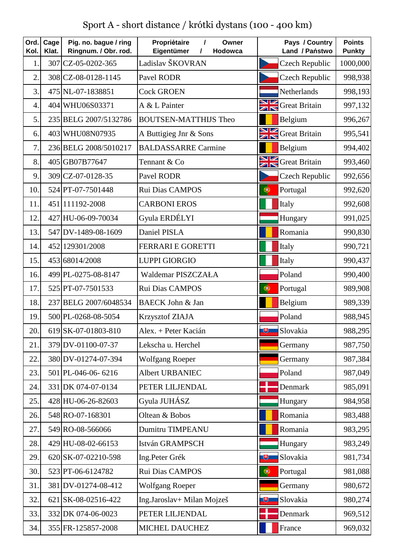Sport A - short distance / krótki dystans (100 - 400 km)

| Ord.<br>Kol.   | Cage<br>Klat. | Pig. no. bague / ring<br>Ringnum. / Obr. rod. | Propriétaire<br>$\prime$<br>Owner<br>Eigentümer<br>Hodowca<br>7 | Pays / Country<br>Land / Państwo     | <b>Points</b><br><b>Punkty</b> |
|----------------|---------------|-----------------------------------------------|-----------------------------------------------------------------|--------------------------------------|--------------------------------|
| $\mathbf{1}$   |               | 307 CZ-05-0202-365                            | Ladislav ŠKOVRAN                                                | <b>Czech Republic</b>                | 1000,000                       |
| $\overline{2}$ |               | 308 CZ-08-0128-1145                           | Pavel RODR                                                      | <b>Czech Republic</b>                | 998,938                        |
| 3.             |               | 475 NL-07-1838851                             | <b>Cock GROEN</b>                                               | Netherlands                          | 998,193                        |
| $\overline{4}$ |               | 404 WHU06S03371                               | A & L Painter                                                   | <b>SIM</b> Great Britain             | 997,132                        |
| 5.             |               | 235 BELG 2007/5132786                         | <b>BOUTSEN-MATTHIJS Theo</b>                                    | Belgium                              | 996,267                        |
| 6.             |               | 403 WHU08N07935                               | A Buttigieg Jnr & Sons                                          | <b>Sandwich School</b> Great Britain | 995,541                        |
| 7.             |               | 236 BELG 2008/5010217                         | <b>BALDASSARRE Carmine</b>                                      | Belgium                              | 994,402                        |
| 8.             |               | 405 GB07B77647                                | Tennant & Co                                                    | <b>SIM</b> Great Britain             | 993,460                        |
| 9.             |               | 309 CZ-07-0128-35                             | Pavel RODR                                                      | <b>Czech Republic</b>                | 992,656                        |
| 10.            |               | 524 PT-07-7501448                             | Rui Dias CAMPOS                                                 | $\bigcirc$<br>Portugal               | 992,620                        |
| 11.            |               | 451 111192-2008                               | <b>CARBONI EROS</b>                                             | Italy                                | 992,608                        |
| 12.            |               | 427 HU-06-09-70034                            | Gyula ERDÉLYI                                                   | Hungary                              | 991,025                        |
| 13.            |               | 547 DV-1489-08-1609                           | Daniel PISLA                                                    | Romania                              | 990,830                        |
| 14.            |               | 452 129301/2008                               | <b>FERRARI E GORETTI</b>                                        | Italy                                | 990,721                        |
| 15.            |               | 453 68014/2008                                | <b>LUPPI GIORGIO</b>                                            | Italy                                | 990,437                        |
| 16.            |               | 499 PL-0275-08-8147                           | Waldemar PISZCZAŁA                                              | Poland                               | 990,400                        |
| 17.            |               | 525 PT-07-7501533                             | Rui Dias CAMPOS                                                 | $\bigcirc$<br>Portugal               | 989,908                        |
| 18.            |               | 237 BELG 2007/6048534                         | <b>BAECK John &amp; Jan</b>                                     | Belgium                              | 989,339                        |
| 19.            |               | 500 PL-0268-08-5054                           | Krzysztof ZIAJA                                                 | Poland                               | 988,945                        |
| 20.            |               | 619 SK-07-01803-810                           | Alex. + Peter Kacián                                            | Slovakia                             | 988,295                        |
| 21.            |               | 379 DV-01100-07-37                            | Lekscha u. Herchel                                              | Germany                              | 987,750                        |
| 22.            |               | 380 DV-01274-07-394                           | <b>Wolfgang Roeper</b>                                          | Germany                              | 987,384                        |
| 23.            |               | 501 PL-046-06-6216                            | <b>Albert URBANIEC</b>                                          | Poland                               | 987,049                        |
| 24.            |               | 331 DK 074-07-0134                            | PETER LILJENDAL                                                 | Denmark                              | 985,091                        |
| 25.            |               | 428 HU-06-26-82603                            | Gyula JUHÁSZ                                                    | Hungary                              | 984,958                        |
| 26.            |               | 548 RO-07-168301                              | Oltean & Bobos                                                  | Romania                              | 983,488                        |
| 27.            |               | 549 RO-08-566066                              | <b>Dumitru TIMPEANU</b>                                         | Romania                              | 983,295                        |
| 28.            |               | 429 HU-08-02-66153                            | István GRAMPSCH                                                 | Hungary                              | 983,249                        |
| 29.            |               | 620 SK-07-02210-598                           | Ing.Peter Grék                                                  | Slovakia<br>电                        | 981,734                        |
| 30.            |               | 523 PT-06-6124782                             | Rui Dias CAMPOS                                                 | $\bullet$<br>Portugal                | 981,088                        |
| 31.            |               | 381 DV-01274-08-412                           | <b>Wolfgang Roeper</b>                                          | Germany                              | 980,672                        |
| 32.            |               | 621 SK-08-02516-422                           | Ing.Jaroslav+ Milan Mojzeš                                      | Slovakia<br>电                        | 980,274                        |
| 33.            |               | 332 DK 074-06-0023                            | PETER LILJENDAL                                                 | Denmark                              | 969,512                        |
| 34.            |               | 355 FR-125857-2008                            | MICHEL DAUCHEZ                                                  | France                               | 969,032                        |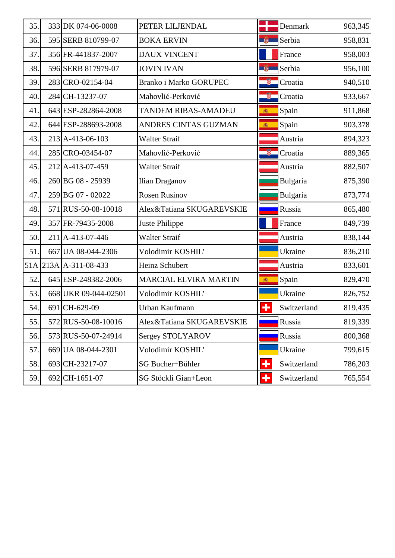| 35. | 333 DK 074-06-0008   | PETER LILJENDAL               |                      | Denmark     | 963,345 |
|-----|----------------------|-------------------------------|----------------------|-------------|---------|
| 36. | 595 SERB 810799-07   | <b>BOKA ERVIN</b>             | 尊                    | Serbia      | 958,831 |
| 37. | 356 FR-441837-2007   | <b>DAUX VINCENT</b>           |                      | France      | 958,003 |
| 38. | 596 SERB 817979-07   | <b>JOVIN IVAN</b>             | 尊                    | Serbia      | 956,100 |
| 39. | 283 CRO-02154-04     | <b>Branko i Marko GORUPEC</b> | ÷                    | Croatia     | 940,510 |
| 40. | 284 CH-13237-07      | Mahovlić-Perković             | -5                   | Croatia     | 933,667 |
| 41. | 643 ESP-282864-2008  | <b>TANDEM RIBAS-AMADEU</b>    | 瓣                    | Spain       | 911,868 |
| 42. | 644 ESP-288693-2008  | ANDRES CINTAS GUZMAN          | 瀛                    | Spain       | 903,378 |
| 43. | 213 A-413-06-103     | <b>Walter Straif</b>          |                      | Austria     | 894,323 |
| 44. | 285 CRO-03454-07     | Mahovlić-Perković             |                      | Croatia     | 889,365 |
| 45. | 212 A-413-07-459     | <b>Walter Straif</b>          |                      | Austria     | 882,507 |
| 46. | 260 BG 08 - 25939    | Ilian Draganov                |                      | Bulgaria    | 875,390 |
| 47. | 259 BG 07 - 02022    | <b>Rosen Rusinov</b>          |                      | Bulgaria    | 873,774 |
| 48. | 571 RUS-50-08-10018  | Alex&Tatiana SKUGAREVSKIE     |                      | Russia      | 865,480 |
| 49. | 357 FR-79435-2008    | Juste Philippe                |                      | France      | 849,739 |
| 50. | 211 A-413-07-446     | <b>Walter Straif</b>          |                      | Austria     | 838,144 |
| 51. | 667 UA 08-044-2306   | Volodimir KOSHIL'             |                      | Ukraine     | 836,210 |
| 51A | $213A$ A-311-08-433  | Heinz Schubert                |                      | Austria     | 833,601 |
| 52. | 645 ESP-248382-2006  | <b>MARCIAL ELVIRA MARTIN</b>  | 高                    | Spain       | 829,470 |
| 53. | 668 UKR 09-044-02501 | Volodimir KOSHIL'             |                      | Ukraine     | 826,752 |
| 54. | 691 CH-629-09        | Urban Kaufmann                | ٠                    | Switzerland | 819,435 |
| 55. | 572 RUS-50-08-10016  | Alex&Tatiana SKUGAREVSKIE     |                      | Russia      | 819,339 |
| 56. | 573 RUS-50-07-24914  | Sergey STOLYAROV              |                      | Russia      | 800,368 |
| 57. | 669 UA 08-044-2301   | Volodimir KOSHIL'             |                      | Ukraine     | 799,615 |
| 58. | 693 CH-23217-07      | SG Bucher+Bühler              | $\ddot{\phantom{1}}$ | Switzerland | 786,203 |
| 59. | 692 CH-1651-07       | SG Stöckli Gian+Leon          | ٠                    | Switzerland | 765,554 |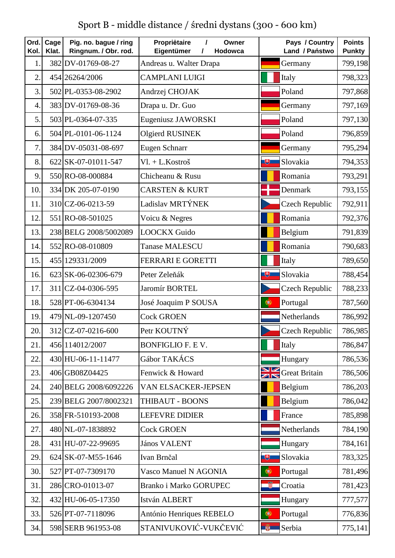Sport B - middle distance / średni dystans (300 - 600 km)

| Ord.<br>Kol.     | Cage<br>Klat. | Pig. no. bague / ring<br>Ringnum. / Obr. rod. | Propriėtaire<br>$\prime$<br>Owner<br>Eigentümer<br>$\prime$<br>Hodowca | Pays / Country<br>Land / Państwo | <b>Points</b><br><b>Punkty</b> |
|------------------|---------------|-----------------------------------------------|------------------------------------------------------------------------|----------------------------------|--------------------------------|
| $\mathbf{1}$     |               | 382 DV-01769-08-27                            | Andreas u. Walter Drapa                                                | Germany                          | 799,198                        |
| $\overline{2}$ . |               | 454 26264/2006                                | <b>CAMPLANI LUIGI</b>                                                  | Italy                            | 798,323                        |
| 3.               |               | 502 PL-0353-08-2902                           | Andrzej CHOJAK                                                         | Poland                           | 797,868                        |
| $\overline{4}$ . |               | 383 DV-01769-08-36                            | Drapa u. Dr. Guo                                                       | Germany                          | 797,169                        |
| 5.               |               | 503 PL-0364-07-335                            | Eugeniusz JAWORSKI                                                     | Poland                           | 797,130                        |
| 6.               |               | 504 PL-0101-06-1124                           | Olgierd RUSINEK                                                        | Poland                           | 796,859                        |
| 7.               |               | 384 DV-05031-08-697                           | Eugen Schnarr                                                          | Germany                          | 795,294                        |
| 8.               |               | 622 SK-07-01011-547                           | $VI. + L.Kostroš$                                                      | 电<br>Slovakia                    | 794,353                        |
| 9.               |               | 550 RO-08-000884                              | Chicheanu & Rusu                                                       | Romania                          | 793,291                        |
| 10.              |               | 334 DK 205-07-0190                            | <b>CARSTEN &amp; KURT</b>                                              | Denmark                          | 793,155                        |
| 11.              |               | 310 CZ-06-0213-59                             | Ladislav MRTÝNEK                                                       | <b>Czech Republic</b>            | 792,911                        |
| 12.              |               | 551 RO-08-501025                              | Voicu & Negres                                                         | Romania                          | 792,376                        |
| 13.              |               | 238 BELG 2008/5002089                         | <b>LOOCKX Guido</b>                                                    | Belgium                          | 791,839                        |
| 14.              |               | 552 RO-08-010809                              | <b>Tanase MALESCU</b>                                                  | Romania                          | 790,683                        |
| 15.              |               | 455 129331/2009                               | <b>FERRARI E GORETTI</b>                                               | Italy                            | 789,650                        |
| 16.              |               | 623 SK-06-02306-679                           | Peter Zeleňák                                                          | Slovakia<br>博                    | 788,454                        |
| 17.              |               | 311 CZ-04-0306-595                            | Jaromír BORTEL                                                         | <b>Czech Republic</b>            | 788,233                        |
| 18.              |               | 528 PT-06-6304134                             | José Joaquim P SOUSA                                                   | $\bigcirc$<br>Portugal           | 787,560                        |
| 19.              |               | 479 NL-09-1207450                             | <b>Cock GROEN</b>                                                      | Netherlands                      | 786,992                        |
| 20.              |               | 312 CZ-07-0216-600                            | Petr KOUTNÝ                                                            | Czech Republic                   | 786,985                        |
| 21.              |               | 456 114012/2007                               | <b>BONFIGLIO F. E V.</b>                                               | Italy                            | 786,847                        |
| 22.              |               | 430 HU-06-11-11477                            | Gábor TAKÁCS                                                           | Hungary                          | 786,536                        |
| 23.              |               | 406 GB08Z04425                                | Fenwick & Howard                                                       | <b>SIM</b> Great Britain         | 786,506                        |
| 24.              |               | 240 BELG 2008/6092226                         | VAN ELSACKER-JEPSEN                                                    | Belgium                          | 786,203                        |
| 25.              |               | 239 BELG 2007/8002321                         | THIBAUT - BOONS                                                        | Belgium                          | 786,042                        |
| 26.              |               | 358 FR-510193-2008                            | <b>LEFEVRE DIDIER</b>                                                  | France                           | 785,898                        |
| 27.              |               | 480 NL-07-1838892                             | <b>Cock GROEN</b>                                                      | Netherlands                      | 784,190                        |
| 28.              |               | 431 HU-07-22-99695                            | <b>János VALENT</b>                                                    | Hungary                          | 784,161                        |
| 29.              |               | 624 SK-07-M55-1646                            | Ivan Brnčal                                                            | Slovakia<br>电                    | 783,325                        |
| 30.              |               | 527 PT-07-7309170                             | Vasco Manuel N AGONIA                                                  | $\bullet$<br>Portugal            | 781,496                        |
| 31.              |               | 286 CRO-01013-07                              | Branko i Marko GORUPEC                                                 | Croatia                          | 781,423                        |
| 32.              |               | 432 HU-06-05-17350                            | István ALBERT                                                          | Hungary                          | 777,577                        |
| 33.              |               | 526 PT-07-7118096                             | António Henriques REBELO                                               | $\bigcirc$<br>Portugal           | 776,836                        |
| 34.              |               | 598 SERB 961953-08                            | STANIVUKOVIĆ-VUKČEVIĆ                                                  | 第<br>Serbia                      | 775,141                        |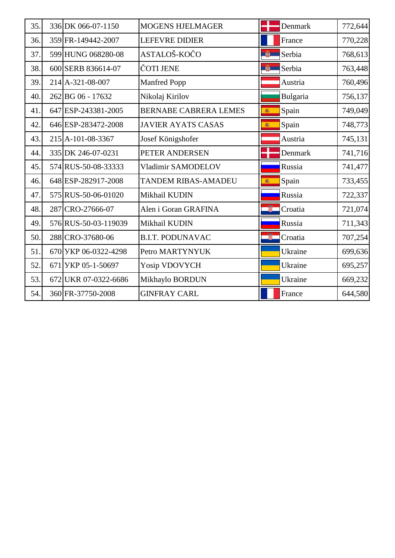| 35. | 336 DK 066-07-1150   | <b>MOGENS HJELMAGER</b>      |          | Denmark  | 772,644 |
|-----|----------------------|------------------------------|----------|----------|---------|
| 36. | 359 FR-149442-2007   | <b>LEFEVRE DIDIER</b>        |          | France   | 770,228 |
| 37. | 599 HUNG 068280-08   | ASTALOŠ-KOČO                 | <b>B</b> | Serbia   | 768,613 |
| 38. | 600 SERB 836614-07   | ČOTI JENE                    | 单        | Serbia   | 763,448 |
| 39. | 214 A-321-08-007     | <b>Manfred Popp</b>          |          | Austria  | 760,496 |
| 40. | 262 BG 06 - 17632    | Nikolaj Kirilov              |          | Bulgaria | 756,137 |
| 41  | 647 ESP-243381-2005  | <b>BERNABE CABRERA LEMES</b> | 瀛        | Spain    | 749,049 |
| 42. | 646 ESP-283472-2008  | <b>JAVIER AYATS CASAS</b>    | 瀛        | Spain    | 748,773 |
| 43. | 215 A-101-08-3367    | Josef Königshofer            |          | Austria  | 745,131 |
| 44. | 335 DK 246-07-0231   | PETER ANDERSEN               |          | Denmark  | 741,716 |
| 45. | 574 RUS-50-08-33333  | Vladimir SAMODELOV           |          | Russia   | 741,477 |
| 46. | 648 ESP-282917-2008  | <b>TANDEM RIBAS-AMADEU</b>   | 高        | Spain    | 733,455 |
| 47. | 575 RUS-50-06-01020  | Mikhail KUDIN                |          | Russia   | 722,337 |
| 48. | 287 CRO-27666-07     | Alen i Goran GRAFINA         | ã        | Croatia  | 721,074 |
| 49. | 576 RUS-50-03-119039 | Mikhail KUDIN                |          | Russia   | 711,343 |
| 50. | 288 CRO-37680-06     | <b>B.I.T. PODUNAVAC</b>      | H.       | Croatia  | 707,254 |
| 51. | 670 УКР 06-0322-4298 | Petro MARTYNYUK              |          | Ukraine  | 699,636 |
| 52. | 671 УКР 05-1-50697   | Yosip VDOVYCH                |          | Ukraine  | 695,257 |
| 53. | 672 UKR 07-0322-6686 | Mikhaylo BORDUN              |          | Ukraine  | 669,232 |
| 54. | 360 FR-37750-2008    | <b>GINFRAY CARL</b>          |          | France   | 644,580 |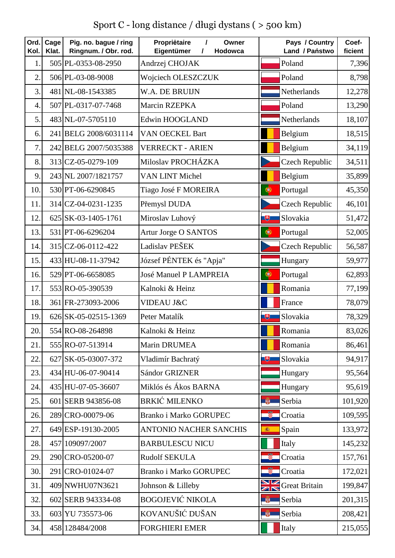Sport C - long distance / długi dystans ( > 500 km)

| Ord.<br>Kol.     | Cage<br>Klat. | Pig. no. bague / ring<br>Ringnum. / Obr. rod. | Propriėtaire<br>Owner<br>$\prime$<br>Eigentümer<br>Hodowca<br>I | Pays / Country<br>Land / Państwo | Coef-<br>ficient |
|------------------|---------------|-----------------------------------------------|-----------------------------------------------------------------|----------------------------------|------------------|
| 1.               |               | 505 PL-0353-08-2950                           | Andrzej CHOJAK                                                  | Poland                           | 7,396            |
| $\overline{2}$ . |               | 506 PL-03-08-9008                             | Wojciech OLESZCZUK                                              | Poland                           | 8,798            |
| 3.               |               | 481 NL-08-1543385                             | W.A. DE BRUIJN                                                  | Netherlands                      | 12,278           |
| $\overline{4}$ . |               | 507 PL-0317-07-7468                           | Marcin RZEPKA                                                   | Poland                           | 13,290           |
| 5.               |               | 483 NL-07-5705110                             | Edwin HOOGLAND                                                  | Netherlands                      | 18,107           |
| 6.               |               | 241 BELG 2008/6031114                         | VAN OECKEL Bart                                                 | Belgium                          | 18,515           |
| 7.               |               | 242 BELG 2007/5035388                         | <b>VERRECKT - ARIEN</b>                                         | Belgium                          | 34,119           |
| 8.               |               | 313 CZ-05-0279-109                            | Miloslav PROCHÁZKA                                              | <b>Czech Republic</b>            | 34,511           |
| 9.               |               | 243 NL 2007/1821757                           | VAN LINT Michel                                                 | Belgium                          | 35,899           |
| 10.              |               | 530 PT-06-6290845                             | Tiago José F MOREIRA                                            | $\bullet$<br>Portugal            | 45,350           |
| 11.              |               | 314 CZ-04-0231-1235                           | Přemysl DUDA                                                    | <b>Czech Republic</b>            | 46,101           |
| 12.              |               | 625 SK-03-1405-1761                           | Miroslav Luhový                                                 | Slovakia<br>电                    | 51,472           |
| 13.              |               | 531 PT-06-6296204                             | Artur Jorge O SANTOS                                            | Portugal<br>$\bullet$            | 52,005           |
| 14.              |               | 315 CZ-06-0112-422                            | Ladislav PEŠEK                                                  | <b>Czech Republic</b>            | 56,587           |
| 15.              |               | 433 HU-08-11-37942                            | József PÉNTEK és "Apja"                                         | Hungary                          | 59,977           |
| 16.              |               | 529 PT-06-6658085                             | <b>José Manuel P LAMPREIA</b>                                   | $\bullet$<br>Portugal            | 62,893           |
| 17.              |               | 553 RO-05-390539                              | Kalnoki & Heinz                                                 | Romania                          | 77,199           |
| 18.              |               | 361 FR-273093-2006                            | VIDEAU J&C                                                      | France                           | 78,079           |
| 19.              |               | 626 SK-05-02515-1369                          | Peter Matalík                                                   | Slovakia<br>飞                    | 78,329           |
| 20.              |               | 554 RO-08-264898                              | Kalnoki & Heinz                                                 | Romania                          | 83,026           |
| 21.              |               | 555 RO-07-513914                              | Marin DRUMEA                                                    | Romania                          | 86,461           |
| 22.              |               | 627 SK-05-03007-372                           | Vladimír Bachratý                                               | Slovakia<br>飞                    | 94,917           |
| 23.              |               | 434 HU-06-07-90414                            | Sándor GRIZNER                                                  | Hungary                          | 95,564           |
| 24.              |               | 435 HU-07-05-36607                            | Miklós és Ákos BARNA                                            | Hungary                          | 95,619           |
| 25.              |               | 601 SERB 943856-08                            | <b>BRKIĆ MILENKO</b>                                            | Serbia<br>藥                      | 101,920          |
| 26.              |               | 289 CRO-00079-06                              | Branko i Marko GORUPEC                                          | Croatia                          | 109,595          |
| 27.              |               | 649 ESP-19130-2005                            | <b>ANTONIO NACHER SANCHIS</b>                                   | Spain<br>瀛                       | 133,972          |
| 28.              |               | 457 109097/2007                               | <b>BARBULESCU NICU</b>                                          | Italy                            | 145,232          |
| 29.              |               | 290 CRO-05200-07                              | <b>Rudolf SEKULA</b>                                            | Ş<br>Croatia                     | 157,761          |
| 30.              |               | 291 CRO-01024-07                              | <b>Branko i Marko GORUPEC</b>                                   | ÷<br>Croatia                     | 172,021          |
| 31.              |               | 409 NWHU07N3621                               | Johnson & Lilleby                                               | <b>SIM</b> Great Britain         | 199,847          |
| 32.              |               | 602 SERB 943334-08                            | <b>BOGOJEVIĆ NIKOLA</b>                                         | Serbia<br>单                      | 201,315          |
| 33.              |               | 603 YU 735573-06                              | KOVANUŠIĆ DUŠAN                                                 | Serbia<br>藥                      | 208,421          |
| 34.              |               | 458 128484/2008                               | <b>FORGHIERI EMER</b>                                           | Italy                            | 215,055          |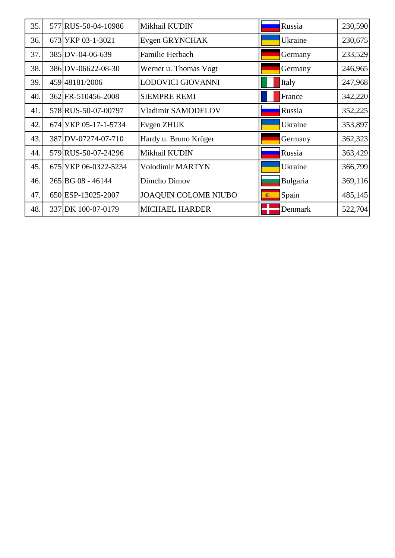| 35. | 577 RUS-50-04-10986  | Mikhail KUDIN               | Russia     | 230,590 |
|-----|----------------------|-----------------------------|------------|---------|
| 36. | 673 УКР 03-1-3021    | Evgen GRYNCHAK              | Ukraine    | 230,675 |
| 37. | 385 DV-04-06-639     | Familie Herbach             | Germany    | 233,529 |
| 38. | 386 DV-06622-08-30   | Werner u. Thomas Vogt       | Germany    | 246,965 |
| 39. | 459 48181/2006       | LODOVICI GIOVANNI           | Italy      | 247,968 |
| 40. | 362 FR-510456-2008   | <b>SIEMPRE REMI</b>         | France     | 342,220 |
| 41. | 578 RUS-50-07-00797  | Vladimir SAMODELOV          | Russia     | 352,225 |
| 42. | 674 УКР 05-17-1-5734 | Evgen ZHUK                  | Ukraine    | 353,897 |
| 43. | 387 DV-07274-07-710  | Hardy u. Bruno Krüger       | Germany    | 362,323 |
| 44. | 579 RUS-50-07-24296  | Mikhail KUDIN               | Russia     | 363,429 |
| 45. | 675 VKP 06-0322-5234 | <b>Volodimir MARTYN</b>     | Ukraine    | 366,799 |
| 46. | 265 BG 08 - 46144    | Dimcho Dimov                | Bulgaria   | 369,116 |
| 47. | 650 ESP-13025-2007   | <b>JOAQUIN COLOME NIUBO</b> | Spain<br>瀛 | 485,145 |
| 48. | 337 DK 100-07-0179   | <b>MICHAEL HARDER</b>       | Denmark    | 522,704 |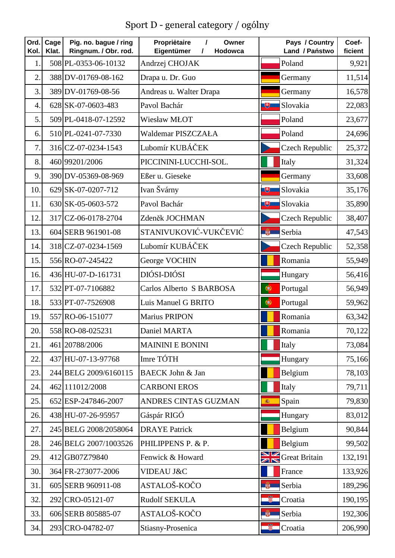Sport D - general category / ogólny

| Ord.<br>Kol.   | Cage<br>Klat. | Pig. no. bague / ring<br>Ringnum. / Obr. rod. | Propriétaire<br>$\prime$<br>Owner<br>Eigentümer<br>$\prime$<br>Hodowca | Pays / Country<br>Land / Państwo | Coef-<br>ficient |
|----------------|---------------|-----------------------------------------------|------------------------------------------------------------------------|----------------------------------|------------------|
| $\mathbf{1}$   |               | 508 PL-0353-06-10132                          | Andrzej CHOJAK                                                         | Poland                           | 9,921            |
| $\overline{2}$ |               | 388 DV-01769-08-162                           | Drapa u. Dr. Guo                                                       | Germany                          | 11,514           |
| 3.             |               | 389 DV-01769-08-56                            | Andreas u. Walter Drapa                                                | Germany                          | 16,578           |
| 4.             |               | 628 SK-07-0603-483                            | Pavol Bachár                                                           | 电<br>Slovakia                    | 22,083           |
| 5.             |               | 509 PL-0418-07-12592                          | Wiesław MŁOT                                                           | Poland                           | 23,677           |
| 6.             |               | 510 PL-0241-07-7330                           | Waldemar PISZCZAŁA                                                     | Poland                           | 24,696           |
| 7.             |               | 316 CZ-07-0234-1543                           | Lubomír KUBÁČEK                                                        | <b>Czech Republic</b>            | 25,372           |
| 8.             |               | 460 99201/2006                                | PICCININI-LUCCHI-SOL.                                                  | Italy                            | 31,324           |
| 9.             |               | 390 DV-05369-08-969                           | Eßer u. Gieseke                                                        | Germany                          | 33,608           |
| 10.            |               | 629 SK-07-0207-712                            | Ivan Švárny                                                            | 博<br>Slovakia                    | 35,176           |
| 11.            |               | 630 SK-05-0603-572                            | Pavol Bachár                                                           | Slovakia<br>电                    | 35,890           |
| 12.            |               | 317 CZ-06-0178-2704                           | Zdeněk JOCHMAN                                                         | <b>Czech Republic</b>            | 38,407           |
| 13.            |               | 604 SERB 961901-08                            | STANIVUKOVIĆ-VUKČEVIĆ                                                  | $\frac{1}{2}$<br>Serbia          | 47,543           |
| 14.            |               | 318 CZ-07-0234-1569                           | Lubomír KUBÁČEK                                                        | <b>Czech Republic</b>            | 52,358           |
| 15.            |               | 556 RO-07-245422                              | George VOCHIN                                                          | Romania                          | 55,949           |
| 16.            |               | 436 HU-07-D-161731                            | DIÓSI-DIÓSI                                                            | Hungary                          | 56,416           |
| 17.            |               | 532 PT-07-7106882                             | Carlos Alberto S BARBOSA                                               | Portugal<br>$\bullet$            | 56,949           |
| 18.            |               | 533 PT-07-7526908                             | Luis Manuel G BRITO                                                    | $\bullet$<br>Portugal            | 59,962           |
| 19.            |               | 557 RO-06-151077                              | <b>Marius PRIPON</b>                                                   | Romania                          | 63,342           |
| 20.            |               | 558 RO-08-025231                              | Daniel MARTA                                                           | Romania                          | 70,122           |
| 21.            |               | 461 20788/2006                                | <b>MAININI E BONINI</b>                                                | Italy                            | 73,084           |
| 22.            |               | 437 HU-07-13-97768                            | Imre TÓTH                                                              | Hungary                          | 75,166           |
| 23.            |               | 244 BELG 2009/6160115                         | <b>BAECK John &amp; Jan</b>                                            | Belgium                          | 78,103           |
| 24.            |               | 462 111012/2008                               | <b>CARBONI EROS</b>                                                    | Italy                            | 79,711           |
| 25.            |               | 652 ESP-247846-2007                           | ANDRES CINTAS GUZMAN                                                   | Spain<br>瓣                       | 79,830           |
| 26.            |               | 438 HU-07-26-95957                            | Gáspár RIGÓ                                                            | Hungary                          | 83,012           |
| 27.            |               | 245 BELG 2008/2058064                         | <b>DRAYE Patrick</b>                                                   | Belgium                          | 90,844           |
| 28.            |               | 246 BELG 2007/1003526                         | PHILIPPENS P. & P.                                                     | Belgium                          | 99,502           |
| 29.            |               | 412 GB07Z79840                                | Fenwick & Howard                                                       | <b>NV</b> Great Britain          | 132,191          |
| 30.            |               | 364 FR-273077-2006                            | VIDEAU J&C                                                             | France                           | 133,926          |
| 31.            |               | 605 SERB 960911-08                            | ASTALOŠ-KOČO                                                           | Serbia<br><b>AFA</b>             | 189,296          |
| 32.            |               | 292 CRO-05121-07                              | <b>Rudolf SEKULA</b>                                                   | Croatia                          | 190,195          |
| 33.            |               | 606 SERB 805885-07                            | ASTALOŠ-KOČO                                                           | Serbia<br>藥                      | 192,306          |
| 34.            |               | 293 CRO-04782-07                              | Stiasny-Prosenica                                                      | Croatia                          | 206,990          |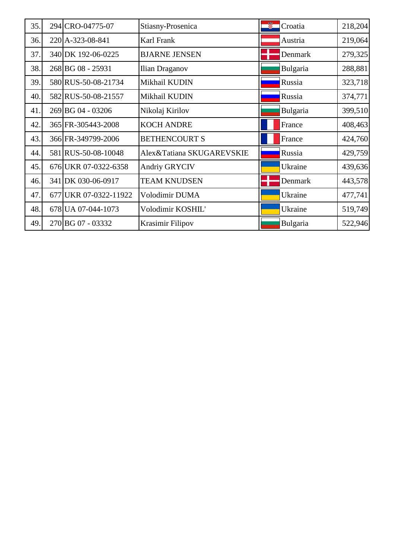| 35. | 294 CRO-04775-07      | Stiasny-Prosenica         | 龞<br>Croatia | 218,204 |
|-----|-----------------------|---------------------------|--------------|---------|
| 36. | 220 A-323-08-841      | Karl Frank                | Austria      | 219,064 |
| 37. | 340 DK 192-06-0225    | <b>BJARNE JENSEN</b>      | Denmark      | 279,325 |
| 38. | 268 BG 08 - 25931     | Ilian Draganov            | Bulgaria     | 288,881 |
| 39. | 580 RUS-50-08-21734   | Mikhail KUDIN             | Russia       | 323,718 |
| 40. | 582 RUS-50-08-21557   | Mikhail KUDIN             | Russia       | 374,771 |
| 41. | 269 BG 04 - 03206     | Nikolaj Kirilov           | Bulgaria     | 399,510 |
| 42. | 365 FR-305443-2008    | <b>KOCH ANDRE</b>         | France       | 408,463 |
| 43. | 366 FR-349799-2006    | <b>BETHENCOURT S</b>      | France       | 424,760 |
| 44. | 581 RUS-50-08-10048   | Alex&Tatiana SKUGAREVSKIE | Russia       | 429,759 |
| 45. | 676 UKR 07-0322-6358  | <b>Andriy GRYCIV</b>      | Ukraine      | 439,636 |
| 46. | 341 DK 030-06-0917    | <b>TEAM KNUDSEN</b>       | Denmark      | 443,578 |
| 47. | 677 UKR 07-0322-11922 | Volodimir DUMA            | Ukraine      | 477,741 |
| 48. | 678 UA 07-044-1073    | Volodimir KOSHIL'         | Ukraine      | 519,749 |
| 49. | 270 BG 07 - 03332     | Krasimir Filipov          | Bulgaria     | 522,946 |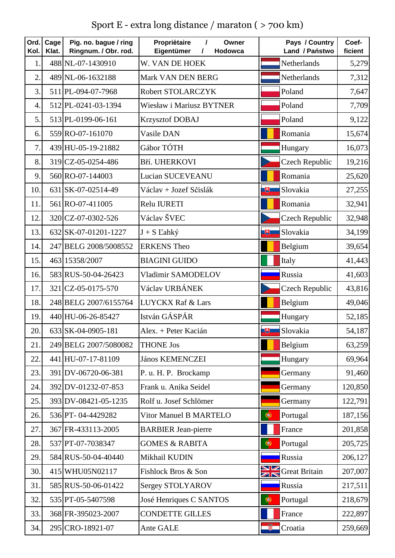Sport E - extra long distance / maraton ( > 700 km)

| Ord.<br>Kol.     | Cage<br>Klat. | Pig. no. bague / ring<br>Ringnum. / Obr. rod. | Propriėtaire<br>Owner<br>$\prime$<br>Eigentümer<br>Hodowca<br>I | Pays / Country<br>Land / Państwo | Coef-<br>ficient |
|------------------|---------------|-----------------------------------------------|-----------------------------------------------------------------|----------------------------------|------------------|
| 1.               |               | 488 NL-07-1430910                             | W. VAN DE HOEK                                                  | Netherlands                      | 5,279            |
| $\overline{2}$ . |               | 489 NL-06-1632188                             | Mark VAN DEN BERG                                               | Netherlands                      | 7,312            |
| 3.               |               | 511 PL-094-07-7968                            | Robert STOLARCZYK                                               | Poland                           | 7,647            |
| $\overline{4}$ . |               | 512 PL-0241-03-1394                           | Wiesław i Mariusz BYTNER                                        | Poland                           | 7,709            |
| 5.               |               | 513 PL-0199-06-161                            | <b>Krzysztof DOBAJ</b>                                          | Poland                           | 9,122            |
| 6.               |               | 559 RO-07-161070                              | Vasile DAN                                                      | Romania                          | 15,674           |
| 7.               |               | 439 HU-05-19-21882                            | Gábor TÓTH                                                      | Hungary                          | 16,073           |
| 8.               |               | 319 CZ-05-0254-486                            | Bří. UHERKOVI                                                   | <b>Czech Republic</b>            | 19,216           |
| 9.               |               | 560 RO-07-144003                              | Lucian SUCEVEANU                                                | Romania                          | 25,620           |
| 10.              |               | 631 SK-07-02514-49                            | Václav + Jozef Sčislák                                          | 电<br>Slovakia                    | 27,255           |
| 11.              |               | 561 RO-07-411005                              | Relu IURETI                                                     | Romania                          | 32,941           |
| 12.              |               | 320 CZ-07-0302-526                            | Václav ŠVEC                                                     | <b>Czech Republic</b>            | 32,948           |
| 13.              |               | 632 SK-07-01201-1227                          | $J + S$ Lahký                                                   | 博<br>Slovakia                    | 34,199           |
| 14.              |               | 247 BELG 2008/5008552                         | <b>ERKENS</b> Theo                                              | Belgium                          | 39,654           |
| 15.              |               | 463 15358/2007                                | <b>BIAGINI GUIDO</b>                                            | Italy                            | 41,443           |
| 16.              |               | 583 RUS-50-04-26423                           | Vladimir SAMODELOV                                              | Russia                           | 41,603           |
| 17.              |               | 321 CZ-05-0175-570                            | Václav URBÁNEK                                                  | <b>Czech Republic</b>            | 43,816           |
| 18.              |               | 248 BELG 2007/6155764                         | <b>LUYCKX Raf &amp; Lars</b>                                    | Belgium                          | 49,046           |
| 19.              |               | 440 HU-06-26-85427                            | István GÁSPÁR                                                   | Hungary                          | 52,185           |
| 20.              |               | 633 SK-04-0905-181                            | Alex. + Peter Kacián                                            | $\Box$ Slovakia                  | 54,187           |
| 21.              |               | 249 BELG 2007/5080082                         | <b>THONE Jos</b>                                                | Belgium                          | 63,259           |
| 22.              |               | 441 HU-07-17-81109                            | <b>János KEMENCZEI</b>                                          | Hungary                          | 69,964           |
| 23.              |               | 391 DV-06720-06-381                           | P. u. H. P. Brockamp                                            | Germany                          | 91,460           |
| 24.              |               | 392 DV-01232-07-853                           | Frank u. Anika Seidel                                           | Germany                          | 120,850          |
| 25.              |               | 393 DV-08421-05-1235                          | Rolf u. Josef Schlömer                                          | Germany                          | 122,791          |
| 26.              |               | 536 PT-04-4429282                             | Vitor Manuel B MARTELO                                          | Portugal<br>$\bigcirc$           | 187,156          |
| 27.              |               | 367 FR-433113-2005                            | <b>BARBIER</b> Jean-pierre                                      | France                           | 201,858          |
| 28.              |               | 537 PT-07-7038347                             | <b>GOMES &amp; RABITA</b>                                       | Portugal<br>$\bigcirc$           | 205,725          |
| 29.              |               | 584 RUS-50-04-40440                           | Mikhail KUDIN                                                   | Russia                           | 206,127          |
| 30.              |               | 415 WHU05N02117                               | Fishlock Bros & Son                                             | <b>SIM</b> Great Britain         | 207,007          |
| 31.              |               | 585 RUS-50-06-01422                           | Sergey STOLYAROV                                                | Russia                           | 217,511          |
| 32.              |               | 535 PT-05-5407598                             | José Henriques C SANTOS                                         | $\bullet$<br>Portugal            | 218,679          |
| 33.              |               | 368 FR-395023-2007                            | <b>CONDETTE GILLES</b>                                          | France                           | 222,897          |
| 34.              |               | 295 CRO-18921-07                              | Ante GALE                                                       | ₩<br>Croatia                     | 259,669          |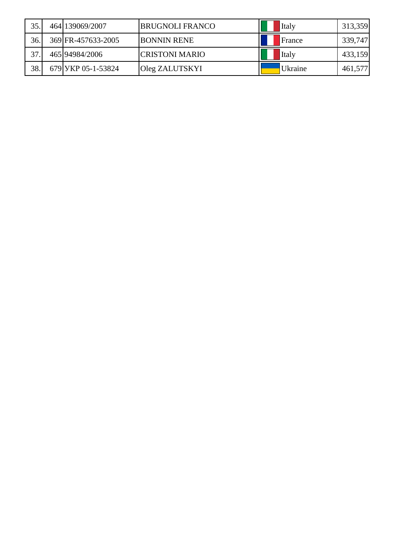| 35. | 464 139069/2007    | <b>BRUGNOLI FRANCO</b> | Italy   | 313,359 |
|-----|--------------------|------------------------|---------|---------|
| 36. | 369 FR-457633-2005 | <b>BONNIN RENE</b>     | France  | 339,747 |
| 37. | 465 94984/2006     | <b>CRISTONI MARIO</b>  | Italy   | 433,159 |
| 38  | 679 УКР 05-1-53824 | Oleg ZALUTSKYI         | Ukraine | 461,577 |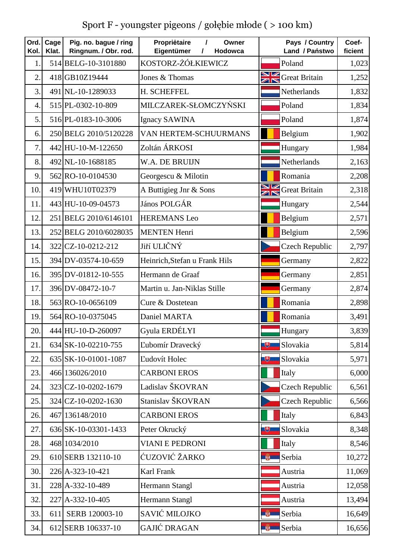Sport F - youngster pigeons / gołębie młode ( > 100 km)

| Ord.<br>Kol.     | Cage<br>Klat. | Pig. no. bague / ring<br>Ringnum. / Obr. rod. | Propriétaire<br>I<br>Owner<br>Eigentümer<br>Hodowca<br>I | Pays / Country<br>Land / Państwo | Coef-<br>ficient |
|------------------|---------------|-----------------------------------------------|----------------------------------------------------------|----------------------------------|------------------|
| 1.               |               | 514 BELG-10-3101880                           | KOSTORZ-ŻÓŁKIEWICZ                                       | Poland                           | 1,023            |
| $\overline{2}$   |               | 418 GB10Z19444                                | Jones & Thomas                                           | <b>NV</b> Great Britain          | 1,252            |
| 3.               |               | 491 NL-10-1289033                             | H. SCHEFFEL                                              | Netherlands                      | 1,832            |
| $\overline{4}$ . |               | 515 PL-0302-10-809                            | MILCZAREK-SŁOMCZYŃSKI                                    | Poland                           | 1,834            |
| 5.               |               | 516 PL-0183-10-3006                           | Ignacy SAWINA                                            | Poland                           | 1,874            |
| 6.               |               | 250 BELG 2010/5120228                         | VAN HERTEM-SCHUURMANS                                    | Belgium                          | 1,902            |
| 7.               |               | 442 HU-10-M-122650                            | Zoltán ÁRKOSI                                            | Hungary                          | 1,984            |
| 8.               |               | 492 NL-10-1688185                             | W.A. DE BRUIJN                                           | Netherlands                      | 2,163            |
| 9.               |               | 562 RO-10-0104530                             | Georgescu & Milotin                                      | Romania                          | 2,208            |
| 10.              |               | 419 WHU10T02379                               | A Buttigieg Jnr & Sons                                   | <b>SIM</b> Great Britain         | 2,318            |
| 11.              |               | 443 HU-10-09-04573                            | János POLGÁR                                             | Hungary                          | 2,544            |
| 12.              |               | 251 BELG 2010/6146101                         | <b>HEREMANS Leo</b>                                      | Belgium                          | 2,571            |
| 13.              |               | 252 BELG 2010/6028035                         | <b>MENTEN Henri</b>                                      | Belgium                          | 2,596            |
| 14.              |               | 322 CZ-10-0212-212                            | Jiří ULIČNÝ                                              | <b>Czech Republic</b>            | 2,797            |
| 15.              |               | 394 DV-03574-10-659                           | Heinrich, Stefan u Frank Hils                            | Germany                          | 2,822            |
| 16.              |               | 395 DV-01812-10-555                           | Hermann de Graaf                                         | Germany                          | 2,851            |
| 17.              |               | 396 DV-08472-10-7                             | Martin u. Jan-Niklas Stille                              | Germany                          | 2,874            |
| 18.              |               | 563 RO-10-0656109                             | Cure & Dostetean                                         | Romania                          | 2,898            |
| 19.              |               | 564 RO-10-0375045                             | Daniel MARTA                                             | Romania                          | 3,491            |
| 20.              |               | 444 HU-10-D-260097                            | Gyula ERDÉLYI                                            | Hungary                          | 3,839            |
| 21.              |               | 634 SK-10-02210-755                           | Ľubomír Dravecký                                         | 电<br>Slovakia                    | 5,814            |
| 22.              |               | 635 SK-10-01001-1087                          | Ľudovít Holec                                            | 电<br>Slovakia                    | 5,971            |
| 23.              |               | 466 136026/2010                               | <b>CARBONI EROS</b>                                      | Italy                            | 6,000            |
| 24.              |               | 323 CZ-10-0202-1679                           | Ladislav ŠKOVRAN                                         | <b>Czech Republic</b>            | 6,561            |
| 25.              |               | 324 CZ-10-0202-1630                           | Stanislav ŠKOVRAN                                        | Czech Republic                   | 6,566            |
| 26.              |               | 467 136148/2010                               | <b>CARBONI EROS</b>                                      | Italy                            | 6,843            |
| 27.              |               | 636 SK-10-03301-1433                          | Peter Okrucký                                            | Slovakia<br>飞                    | 8,348            |
| 28.              |               | 468 1034/2010                                 | <b>VIANI E PEDRONI</b>                                   | Italy                            | 8,546            |
| 29.              |               | 610 SERB 132110-10                            | ĆUZOVIĆ ŽARKO                                            | $\frac{1}{2}$<br>Serbia          | 10,272           |
| 30.              |               | 226 A-323-10-421                              | Karl Frank                                               | Austria                          | 11,069           |
| 31.              |               | 228 A-332-10-489                              | Hermann Stangl                                           | Austria                          | 12,058           |
| 32.              |               | 227 A-332-10-405                              | Hermann Stangl                                           | Austria                          | 13,494           |
| 33.              | 611           | SERB 120003-10                                | SAVIĆ MILOJKO                                            | Serbia                           | 16,649           |
| 34.              |               | 612 SERB 106337-10                            | GAJIĆ DRAGAN                                             | Serbia<br>尊                      | 16,656           |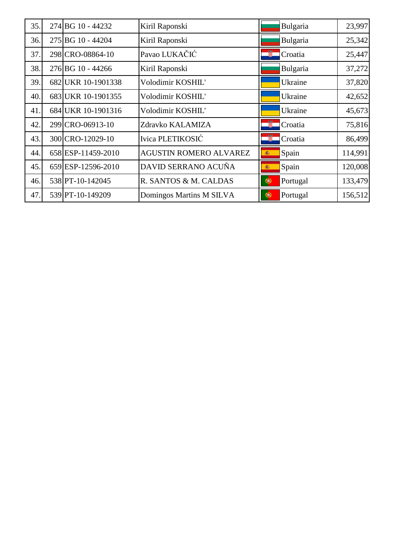| 35. | 274 BG 10 - 44232  | Kiril Raponski           | Bulgaria               | 23,997  |
|-----|--------------------|--------------------------|------------------------|---------|
| 36. | 275 BG 10 - 44204  | Kiril Raponski           | Bulgaria               | 25,342  |
| 37. | 298 CRO-08864-10   | Pavao LUKAČIĆ            | Ø.<br>Croatia          | 25,447  |
| 38. | 276 BG 10 - 44266  | Kiril Raponski           | Bulgaria               | 37,272  |
| 39. | 682 UKR 10-1901338 | Volodimir KOSHIL'        | Ukraine                | 37,820  |
| 40. | 683 UKR 10-1901355 | Volodimir KOSHIL'        | Ukraine                | 42,652  |
| 41. | 684 UKR 10-1901316 | Volodimir KOSHIL'        | Ukraine                | 45,673  |
| 42. | 299 CRO-06913-10   | Zdravko KALAMIZA         | ã<br>Croatia           | 75,816  |
| 43. | 300 CRO-12029-10   | Ivica PLETIKOSIĆ         | Ŵ.<br>Croatia          | 86,499  |
| 44. | 658 ESP-11459-2010 | AGUSTIN ROMERO ALVAREZ   | Spain<br>瀛             | 114,991 |
| 45. | 659 ESP-12596-2010 | DAVID SERRANO ACUÑA      | Spain<br>靏             | 120,008 |
| 46. | 538 PT-10-142045   | R. SANTOS & M. CALDAS    | Portugal<br>$\bigcirc$ | 133,479 |
| 47. | 539 PT-10-149209   | Domingos Martins M SILVA | Portugal<br>U,         | 156,512 |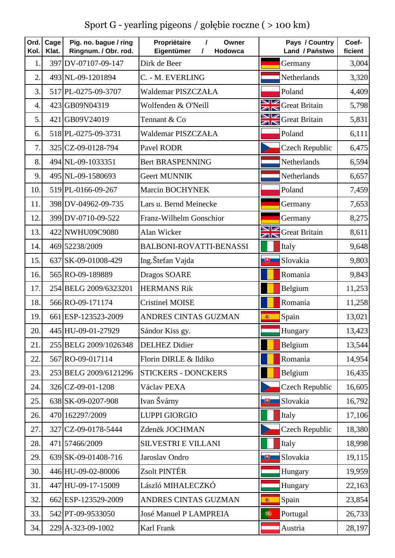Sport G - yearling pigeons / gołębie roczne ( > 100 km)

| Ord.<br>Kol.   | Cage<br>Klat. | Pig. no. bague / ring<br>Ringnum. / Obr. rod. | Propriétaire<br>Owner<br>$\prime$<br>Eigentümer<br>Hodowca<br>$\prime$ | Pays / Country<br>Land / Państwo | Coef-<br>ficient |
|----------------|---------------|-----------------------------------------------|------------------------------------------------------------------------|----------------------------------|------------------|
| 1.             |               | 397 DV-07107-09-147                           | Dirk de Beer                                                           | Germany                          | 3,004            |
| $\overline{2}$ |               | 493 NL-09-1201894                             | C. - M. EVERLING                                                       | Netherlands                      | 3,320            |
| 3.             |               | 517 PL-0275-09-3707                           | Waldemar PISZCZAŁA                                                     | Poland                           | 4,409            |
| $\overline{4}$ |               | 423 GB09N04319                                | Wolfenden & O'Neill                                                    | <b>SIM</b> Great Britain         | 5,798            |
| 5.             |               | 421 GB09V24019                                | Tennant & Co                                                           | <b>SIM</b> Great Britain         | 5,831            |
| 6.             |               | 518 PL-0275-09-3731                           | Waldemar PISZCZAŁA                                                     | Poland                           | 6,111            |
| 7.             |               | 325 CZ-09-0128-794                            | Pavel RODR                                                             | <b>Czech Republic</b>            | 6,475            |
| 8.             |               | 494 NL-09-1033351                             | <b>Bert BRASPENNING</b>                                                | Netherlands                      | 6,594            |
| 9.             |               | 495 NL-09-1580693                             | <b>Geert MUNNIK</b>                                                    | Netherlands                      | 6,657            |
| 10.            |               | 519 PL-0166-09-267                            | Marcin BOCHYNEK                                                        | Poland                           | 7,459            |
| 11.            |               | 398 DV-04962-09-735                           | Lars u. Bernd Meinecke                                                 | Germany                          | 7,653            |
| 12.            |               | 399 DV-0710-09-522                            | Franz-Wilhelm Gonschior                                                | Germany                          | 8,275            |
| 13.            |               | 422 NWHU09C9080                               | Alan Wicker                                                            | <b>SIM</b> Great Britain         | 8,611            |
| 14.            |               | 469 52238/2009                                | BALBONI-ROVATTI-BENASSI                                                | Italy                            | 9,648            |
| 15.            |               | 637 SK-09-01008-429                           | Ing.Štefan Vajda                                                       | 飞<br>Slovakia                    | 9,803            |
| 16.            |               | 565 RO-09-189889                              | Dragos SOARE                                                           | Romania                          | 9,843            |
| 17.            |               | 254 BELG 2009/6323201                         | <b>HERMANS Rik</b>                                                     | Belgium                          | 11,253           |
| 18.            |               | 566 RO-09-171174                              | <b>Cristinel MOISE</b>                                                 | Romania                          | 11,258           |
| 19.            |               | 661 ESP-123523-2009                           | ANDRES CINTAS GUZMAN                                                   | Spain<br>癌                       | 13,021           |
| 20.            |               | 445 HU-09-01-27929                            | Sándor Kiss gy.                                                        | Hungary                          | 13,423           |
| 21.            |               | 255 BELG 2009/1026348                         | <b>DELHEZ Didier</b>                                                   | Belgium                          | 13,544           |
| 22.            |               | 567 RO-09-017114                              | Florin DIRLE & Ildiko                                                  | Romania                          | 14,954           |
| 23.            |               | 253 BELG 2009/6121296                         | <b>STICKERS - DONCKERS</b>                                             | Belgium                          | 16,435           |
| 24.            |               | 326 CZ-09-01-1208                             | Václav PEXA                                                            | <b>Czech Republic</b>            | 16,605           |
| 25.            |               | 638 SK-09-0207-908                            | Ivan Švárny                                                            | Slovakia<br>电                    | 16,792           |
| 26.            |               | 470 162297/2009                               | <b>LUPPI GIORGIO</b>                                                   | Italy                            | 17,106           |
| 27.            |               | 327 CZ-09-0178-5444                           | Zdeněk JOCHMAN                                                         | <b>Czech Republic</b>            | 18,380           |
| 28.            |               | 471 57466/2009                                | <b>SILVESTRI E VILLANI</b>                                             | Italy                            | 18,998           |
| 29.            |               | 639 SK-09-01408-716                           | Jaroslav Ondro                                                         | Slovakia<br>电                    | 19,115           |
| 30.            |               | 446 HU-09-02-80006                            | Zsolt PINTÉR                                                           | Hungary                          | 19,959           |
| 31.            |               | 447 HU-09-17-15009                            | László MIHALECZKÓ                                                      | Hungary                          | 22,163           |
| 32.            |               | 662 ESP-123529-2009                           | ANDRES CINTAS GUZMAN                                                   | Spain<br>瓣                       | 23,854           |
| 33.            |               | 542 PT-09-9533050                             | <b>José Manuel P LAMPREIA</b>                                          | $\bullet$<br>Portugal            | 26,733           |
| 34.            |               | 229 A-323-09-1002                             | Karl Frank                                                             | Austria                          | 28,197           |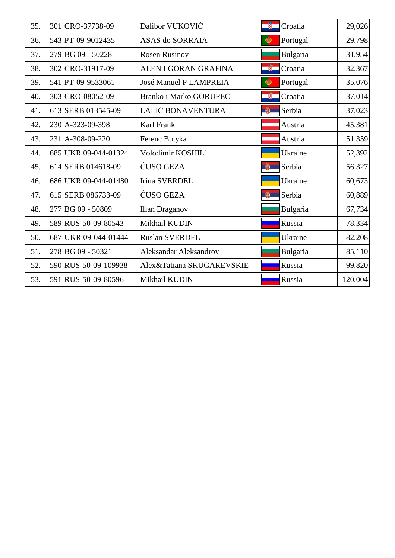| 35. | 301 CRO-37738-09     | Dalibor VUKOVIĆ               | S.<br>Croatia           | 29,026  |
|-----|----------------------|-------------------------------|-------------------------|---------|
| 36. | 543 PT-09-9012435    | ASAS do SORRAIA               | Portugal<br>$\bullet$   | 29,798  |
| 37. | 279 BG 09 - 50228    | <b>Rosen Rusinov</b>          | Bulgaria                | 31,954  |
| 38. | 302 CRO-31917-09     | ALEN I GORAN GRAFINA          | Ø.<br>Croatia           | 32,367  |
| 39. | 541 PT-09-9533061    | <b>José Manuel P LAMPREIA</b> | Portugal<br>$\bullet$   | 35,076  |
| 40. | 303 CRO-08052-09     | Branko i Marko GORUPEC        | 鹭<br>Croatia            | 37,014  |
| 41. | 613 SERB 013545-09   | LALIĆ BONAVENTURA             | <b>Hall</b><br>Serbia   | 37,023  |
| 42. | 230 A-323-09-398     | Karl Frank                    | Austria                 | 45,381  |
| 43. | 231 A-308-09-220     | Ferenc Butyka                 | Austria                 | 51,359  |
| 44. | 685 UKR 09-044-01324 | Volodimir KOSHIL'             | Ukraine                 | 52,392  |
| 45. | 614 SERB 014618-09   | ĆUSO GEZA                     | Serbia<br><b>AND IN</b> | 56,327  |
| 46. | 686 UKR 09-044-01480 | <b>Irina SVERDEL</b>          | Ukraine                 | 60,673  |
| 47. | 615 SERB 086733-09   | ĆUSO GEZA                     | Serbia<br>单             | 60,889  |
| 48. | 277 BG 09 - 50809    | Ilian Draganov                | Bulgaria                | 67,734  |
| 49. | 589 RUS-50-09-80543  | Mikhail KUDIN                 | Russia                  | 78,334  |
| 50. | 687 UKR 09-044-01444 | <b>Ruslan SVERDEL</b>         | Ukraine                 | 82,208  |
| 51. | 278 BG 09 - 50321    | <b>Aleksandar Aleksandrov</b> | Bulgaria                | 85,110  |
| 52. | 590 RUS-50-09-109938 | Alex&Tatiana SKUGAREVSKIE     | Russia                  | 99,820  |
| 53. | 591 RUS-50-09-80596  | Mikhail KUDIN                 | Russia                  | 120,004 |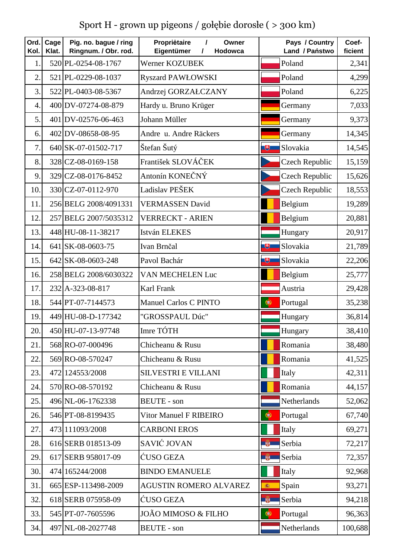Sport H - grown up pigeons / gołębie dorosłe ( > 300 km)

| Ord.<br>Kol.     | Cage<br>Klat. | Pig. no. bague / ring<br>Ringnum. / Obr. rod. | Propriėtaire<br>Owner<br>$\prime$<br>Eigentümer<br>$\prime$<br>Hodowca | Pays / Country<br>Land / Państwo | Coef-<br>ficient |
|------------------|---------------|-----------------------------------------------|------------------------------------------------------------------------|----------------------------------|------------------|
| $\mathbf{1}$     |               | 520 PL-0254-08-1767                           | Werner KOZUBEK                                                         | Poland                           | 2,341            |
| $\overline{2}$ . |               | 521 PL-0229-08-1037                           | <b>Ryszard PAWŁOWSKI</b>                                               | Poland                           | 4,299            |
| 3.               |               | 522 PL-0403-08-5367                           | Andrzej GORZAŁCZANY                                                    | Poland                           | 6,225            |
| $\overline{4}$ . |               | 400 DV-07274-08-879                           | Hardy u. Bruno Krüger                                                  | Germany                          | 7,033            |
| 5.               |               | 401 DV-02576-06-463                           | Johann Müller                                                          | Germany                          | 9,373            |
| 6.               |               | 402 DV-08658-08-95                            | Andre u. Andre Räckers                                                 | Germany                          | 14,345           |
| 7 <sub>1</sub>   |               | 640 SK-07-01502-717                           | Štefan Šutý                                                            | Slovakia<br>飞                    | 14,545           |
| 8.               |               | 328 CZ-08-0169-158                            | František SLOVÁČEK                                                     | Czech Republic                   | 15,159           |
| 9                |               | 329 CZ-08-0176-8452                           | Antonín KONEČNÝ                                                        | <b>Czech Republic</b>            | 15,626           |
| 10.              |               | 330 CZ-07-0112-970                            | Ladislav PEŠEK                                                         | <b>Czech Republic</b>            | 18,553           |
| 11               |               | 256 BELG 2008/4091331                         | <b>VERMASSEN David</b>                                                 | Belgium                          | 19,289           |
| 12.              |               | 257 BELG 2007/5035312                         | <b>VERRECKT - ARIEN</b>                                                | Belgium                          | 20,881           |
| 13.              |               | 448 HU-08-11-38217                            | István ELEKES                                                          | Hungary                          | 20,917           |
| 14.              |               | 641 SK-08-0603-75                             | Ivan Brnčal                                                            | Slovakia<br>飞                    | 21,789           |
| 15.              |               | 642 SK-08-0603-248                            | Pavol Bachár                                                           | 电<br>Slovakia                    | 22,206           |
| 16.              |               | 258 BELG 2008/6030322                         | VAN MECHELEN Luc                                                       | Belgium                          | 25,777           |
| 17.              |               | 232 A-323-08-817                              | Karl Frank                                                             | Austria                          | 29,428           |
| 18.              |               | 544 PT-07-7144573                             | Manuel Carlos C PINTO                                                  | Portugal<br>$\bigcirc$           | 35,238           |
| 19.              |               | 449 HU-08-D-177342                            | "GROSSPAUL Dúc"                                                        | Hungary                          | 36,814           |
| 20.              |               | 450 HU-07-13-97748                            | Imre TÓTH                                                              | Hungary                          | 38,410           |
| 21.              |               | 568 RO-07-000496                              | Chicheanu & Rusu                                                       | Romania                          | 38,480           |
| 22.              |               | 569 RO-08-570247                              | Chicheanu & Rusu                                                       | Romania                          | 41,525           |
| 23.              |               | 472 124553/2008                               | <b>SILVESTRI E VILLANI</b>                                             | Italy                            | 42,311           |
| 24.              |               | 570 RO-08-570192                              | Chicheanu & Rusu                                                       | Romania                          | 44,157           |
| 25.              |               | 496 NL-06-1762338                             | <b>BEUTE</b> - son                                                     | Netherlands                      | 52,062           |
| 26.              |               | 546 PT-08-8199435                             | <b>Vitor Manuel F RIBEIRO</b>                                          | $\bullet$<br>Portugal            | 67,740           |
| 27.              |               | 473 11093/2008                                | <b>CARBONI EROS</b>                                                    | Italy                            | 69,271           |
| 28.              |               | 616 SERB 018513-09                            | SAVIĆ JOVAN                                                            | Serbia<br><b>Light</b>           | 72,217           |
| 29.              |               | 617 SERB 958017-09                            | ĆUSO GEZA                                                              | Serbia<br>单                      | 72,357           |
| 30.              |               | 474 165244/2008                               | <b>BINDO EMANUELE</b>                                                  | Italy                            | 92,968           |
| 31.              |               | 665 ESP-113498-2009                           | <b>AGUSTIN ROMERO ALVAREZ</b>                                          | Spain<br>瓣                       | 93,271           |
| 32.              |               | 618 SERB 075958-09                            | ĆUSO GEZA                                                              | $\frac{1}{2}$<br>Serbia          | 94,218           |
| 33.              |               | 545 PT-07-7605596                             | JOÃO MIMOSO & FILHO                                                    | $\bigcirc$<br>Portugal           | 96,363           |
| 34.              |               | 497 NL-08-2027748                             | <b>BEUTE</b> - son                                                     | Netherlands                      | 100,688          |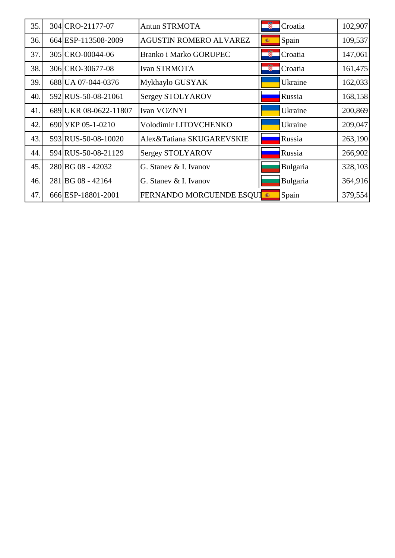| 35. | 304 CRO-21177-07      | <b>Antun STRMOTA</b>              | 龞<br>Croatia  | 102,907 |
|-----|-----------------------|-----------------------------------|---------------|---------|
| 36. | 664 ESP-113508-2009   | <b>AGUSTIN ROMERO ALVAREZ</b>     | Spain<br>癌    | 109,537 |
| 37. | 305 CRO-00044-06      | <b>Branko i Marko GORUPEC</b>     | 釁<br>Croatia  | 147,061 |
| 38. | 306 CRO-30677-08      | <b>Ivan STRMOTA</b>               | Ŵ.<br>Croatia | 161,475 |
| 39. | 688 UA 07-044-0376    | Mykhaylo GUSYAK                   | Ukraine       | 162,033 |
| 40. | 592 RUS-50-08-21061   | Sergey STOLYAROV                  | Russia        | 168,158 |
| 41. | 689 UKR 08-0622-11807 | Ivan VOZNYI                       | Ukraine       | 200,869 |
| 42. | 690 УКР 05-1-0210     | Volodimir LITOVCHENKO             | Ukraine       | 209,047 |
| 43. | 593 RUS-50-08-10020   | Alex&Tatiana SKUGAREVSKIE         | Russia        | 263,190 |
| 44. | 594 RUS-50-08-21129   | <b>Sergey STOLYAROV</b>           | Russia        | 266,902 |
| 45. | 280 BG 08 - 42032     | G. Stanev & I. Ivanov             | Bulgaria      | 328,103 |
| 46. | 281 BG 08 - 42164     | G. Staney & I. Ivanov             | Bulgaria      | 364,916 |
| 47. | 666 ESP-18801-2001    | <b>FERNANDO MORCUENDE ESQUI ®</b> | Spain         | 379,554 |